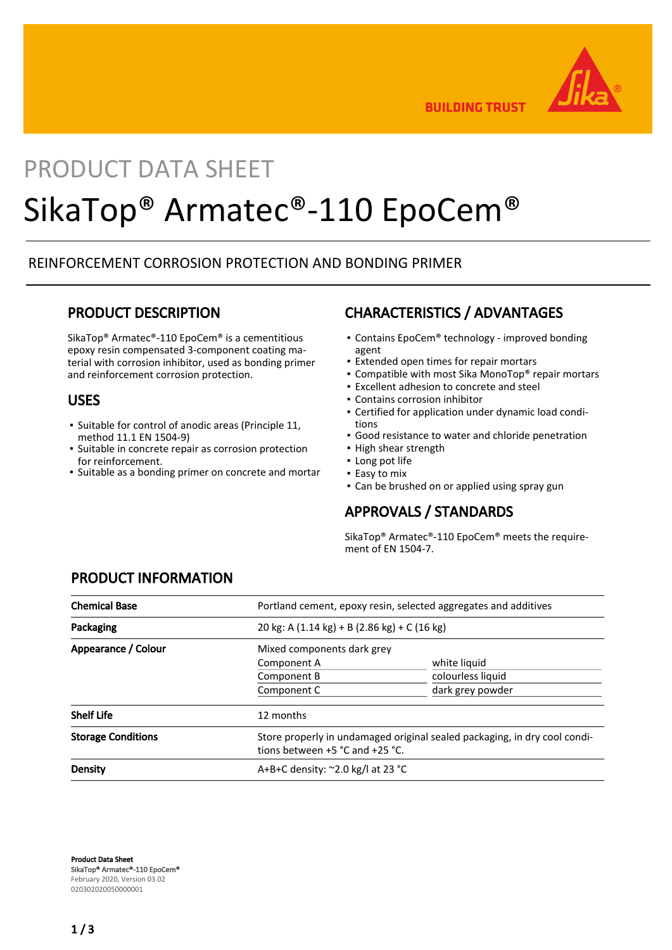

**BUILDING TRUST** 

# PRODUCT DATA SHEET SikaTop® Armatec®-110 EpoCem®

## REINFORCEMENT CORROSION PROTECTION AND BONDING PRIMER

## PRODUCT DESCRIPTION

SikaTop® Armatec®-110 EpoCem® is a cementitious epoxy resin compensated 3-component coating material with corrosion inhibitor, used as bonding primer and reinforcement corrosion protection.

## USES

- Suitable for control of anodic areas (Principle 11, method 11.1 EN 1504-9)
- **·** Suitable in concrete repair as corrosion protection for reinforcement.
- Suitable as a bonding primer on concrete and mortar

## CHARACTERISTICS / ADVANTAGES

- Contains EpoCem® technology improved bonding agent
- **Extended open times for repair mortars**
- Compatible with most Sika MonoTop<sup>®</sup> repair mortars
- Excellent adhesion to concrete and steel
- Contains corrosion inhibitor
- Certified for application under dynamic load condi-▪ tions
- Good resistance to water and chloride penetration
- High shear strength
- Long pot life
- **Easy to mix**
- Can be brushed on or applied using spray gun

## APPROVALS / STANDARDS

SikaTop® Armatec®-110 EpoCem® meets the requirement of EN 1504-7.

| <b>Chemical Base</b>      | Portland cement, epoxy resin, selected aggregates and additives                                              |                   |
|---------------------------|--------------------------------------------------------------------------------------------------------------|-------------------|
| Packaging                 | 20 kg: A $(1.14 \text{ kg}) + B (2.86 \text{ kg}) + C (16 \text{ kg})$                                       |                   |
| Appearance / Colour       | Mixed components dark grey                                                                                   |                   |
|                           | Component A                                                                                                  | white liquid      |
|                           | Component B                                                                                                  | colourless liquid |
|                           | Component C                                                                                                  | dark grey powder  |
| <b>Shelf Life</b>         | 12 months                                                                                                    |                   |
| <b>Storage Conditions</b> | Store properly in undamaged original sealed packaging, in dry cool condi-<br>tions between +5 °C and +25 °C. |                   |
| Density                   | A+B+C density: $\approx$ 2.0 kg/l at 23 °C                                                                   |                   |

# PRODUCT INFORMATION

Product Data Sheet SikaTop® Armatec®-110 EpoCem® February 2020, Version 03.02 020302020050000001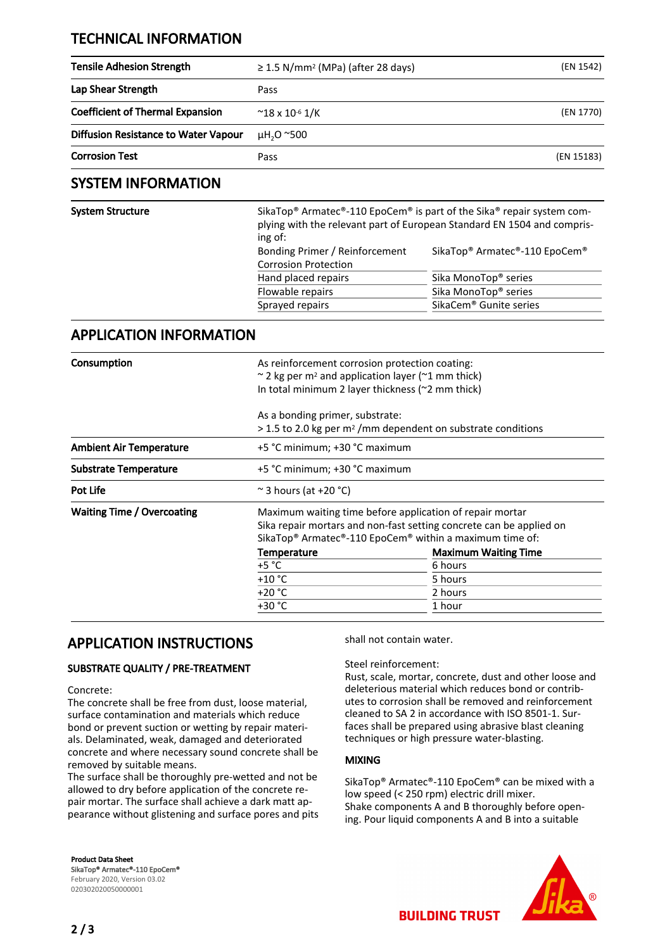## TECHNICAL INFORMATION

| <b>Tensile Adhesion Strength</b>        | $\geq$ 1.5 N/mm <sup>2</sup> (MPa) (after 28 days) | (EN 1542)  |
|-----------------------------------------|----------------------------------------------------|------------|
| Lap Shear Strength                      | Pass                                               |            |
| <b>Coefficient of Thermal Expansion</b> | $~^{\sim}$ 18 x 10 <sup>-6</sup> 1/K               | (EN 1770)  |
| Diffusion Resistance to Water Vapour    | $\mu$ H <sub>2</sub> O ~500                        |            |
| <b>Corrosion Test</b>                   | Pass                                               | (EN 15183) |

## SYSTEM INFORMATION

| System Structure | SikaTop <sup>®</sup> Armatec <sup>®</sup> -110 EpoCem <sup>®</sup> is part of the Sika <sup>®</sup> repair system com-<br>plying with the relevant part of European Standard EN 1504 and compris-<br>ing of: |                                                                    |  |
|------------------|--------------------------------------------------------------------------------------------------------------------------------------------------------------------------------------------------------------|--------------------------------------------------------------------|--|
|                  | Bonding Primer / Reinforcement<br><b>Corrosion Protection</b>                                                                                                                                                | SikaTop <sup>®</sup> Armatec <sup>®</sup> -110 EpoCem <sup>®</sup> |  |
|                  | Hand placed repairs                                                                                                                                                                                          | Sika MonoTop <sup>®</sup> series                                   |  |
|                  | Flowable repairs                                                                                                                                                                                             | Sika MonoTop <sup>®</sup> series                                   |  |
|                  | Sprayed repairs                                                                                                                                                                                              | SikaCem <sup>®</sup> Gunite series                                 |  |

## APPLICATION INFORMATION

| Consumption                       | As reinforcement corrosion protection coating:<br>$\sim$ 2 kg per m <sup>2</sup> and application layer ( $\sim$ 1 mm thick)<br>In total minimum 2 layer thickness (~2 mm thick)                                    |                             |  |
|-----------------------------------|--------------------------------------------------------------------------------------------------------------------------------------------------------------------------------------------------------------------|-----------------------------|--|
|                                   | As a bonding primer, substrate:<br>$>$ 1.5 to 2.0 kg per m <sup>2</sup> /mm dependent on substrate conditions                                                                                                      |                             |  |
| <b>Ambient Air Temperature</b>    | +5 °C minimum; +30 °C maximum                                                                                                                                                                                      |                             |  |
| <b>Substrate Temperature</b>      | +5 °C minimum; +30 °C maximum                                                                                                                                                                                      |                             |  |
| Pot Life                          | $\approx$ 3 hours (at +20 °C)                                                                                                                                                                                      |                             |  |
| <b>Waiting Time / Overcoating</b> | Maximum waiting time before application of repair mortar<br>Sika repair mortars and non-fast setting concrete can be applied on<br>SikaTop <sup>®</sup> Armatec®-110 EpoCem <sup>®</sup> within a maximum time of: |                             |  |
|                                   | <b>Temperature</b>                                                                                                                                                                                                 | <b>Maximum Waiting Time</b> |  |
|                                   | $+5 °C$                                                                                                                                                                                                            | 6 hours                     |  |
|                                   | $+10 °C$                                                                                                                                                                                                           | 5 hours                     |  |
|                                   | $+20 °C$                                                                                                                                                                                                           | 2 hours                     |  |
|                                   | $+30 °C$                                                                                                                                                                                                           | 1 hour                      |  |

## APPLICATION INSTRUCTIONS

#### SUBSTRATE QUALITY / PRE-TREATMENT

#### Concrete:

The concrete shall be free from dust, loose material, surface contamination and materials which reduce bond or prevent suction or wetting by repair materials. Delaminated, weak, damaged and deteriorated concrete and where necessary sound concrete shall be removed by suitable means.

The surface shall be thoroughly pre-wetted and not be allowed to dry before application of the concrete repair mortar. The surface shall achieve a dark matt appearance without glistening and surface pores and pits shall not contain water.

#### Steel reinforcement:

Rust, scale, mortar, concrete, dust and other loose and deleterious material which reduces bond or contributes to corrosion shall be removed and reinforcement cleaned to SA 2 in accordance with ISO 8501-1. Surfaces shall be prepared using abrasive blast cleaning techniques or high pressure water-blasting.

#### MIXING

SikaTop® Armatec®-110 EpoCem® can be mixed with a low speed (< 250 rpm) electric drill mixer. Shake components A and B thoroughly before opening. Pour liquid components A and B into a suitable





**BUILDING TRUST**